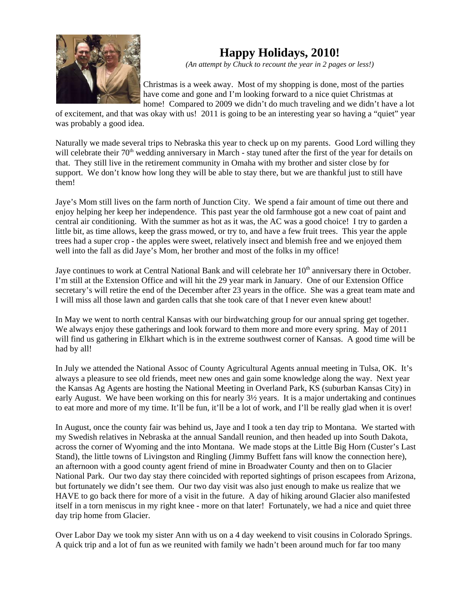

## **Happy Holidays, 2010!**

*(An attempt by Chuck to recount the year in 2 pages or less!)*

Christmas is a week away. Most of my shopping is done, most of the parties have come and gone and I'm looking forward to a nice quiet Christmas at home! Compared to 2009 we didn't do much traveling and we didn't have a lot

of excitement, and that was okay with us! 2011 is going to be an interesting year so having a "quiet" year was probably a good idea.

Naturally we made several trips to Nebraska this year to check up on my parents. Good Lord willing they will celebrate their 70<sup>th</sup> wedding anniversary in March - stay tuned after the first of the year for details on that. They still live in the retirement community in Omaha with my brother and sister close by for support. We don't know how long they will be able to stay there, but we are thankful just to still have them!

Jaye's Mom still lives on the farm north of Junction City. We spend a fair amount of time out there and enjoy helping her keep her independence. This past year the old farmhouse got a new coat of paint and central air conditioning. With the summer as hot as it was, the AC was a good choice! I try to garden a little bit, as time allows, keep the grass mowed, or try to, and have a few fruit trees. This year the apple trees had a super crop - the apples were sweet, relatively insect and blemish free and we enjoyed them well into the fall as did Jaye's Mom, her brother and most of the folks in my office!

Jaye continues to work at Central National Bank and will celebrate her 10<sup>th</sup> anniversary there in October. I'm still at the Extension Office and will hit the 29 year mark in January. One of our Extension Office secretary's will retire the end of the December after 23 years in the office. She was a great team mate and I will miss all those lawn and garden calls that she took care of that I never even knew about!

In May we went to north central Kansas with our birdwatching group for our annual spring get together. We always enjoy these gatherings and look forward to them more and more every spring. May of 2011 will find us gathering in Elkhart which is in the extreme southwest corner of Kansas. A good time will be had by all!

In July we attended the National Assoc of County Agricultural Agents annual meeting in Tulsa, OK. It's always a pleasure to see old friends, meet new ones and gain some knowledge along the way. Next year the Kansas Ag Agents are hosting the National Meeting in Overland Park, KS (suburban Kansas City) in early August. We have been working on this for nearly 3½ years. It is a major undertaking and continues to eat more and more of my time. It'll be fun, it'll be a lot of work, and I'll be really glad when it is over!

In August, once the county fair was behind us, Jaye and I took a ten day trip to Montana. We started with my Swedish relatives in Nebraska at the annual Sandall reunion, and then headed up into South Dakota, across the corner of Wyoming and the into Montana. We made stops at the Little Big Horn (Custer's Last Stand), the little towns of Livingston and Ringling (Jimmy Buffett fans will know the connection here), an afternoon with a good county agent friend of mine in Broadwater County and then on to Glacier National Park. Our two day stay there coincided with reported sightings of prison escapees from Arizona, but fortunately we didn't see them. Our two day visit was also just enough to make us realize that we HAVE to go back there for more of a visit in the future. A day of hiking around Glacier also manifested itself in a torn meniscus in my right knee - more on that later! Fortunately, we had a nice and quiet three day trip home from Glacier.

Over Labor Day we took my sister Ann with us on a 4 day weekend to visit cousins in Colorado Springs. A quick trip and a lot of fun as we reunited with family we hadn't been around much for far too many